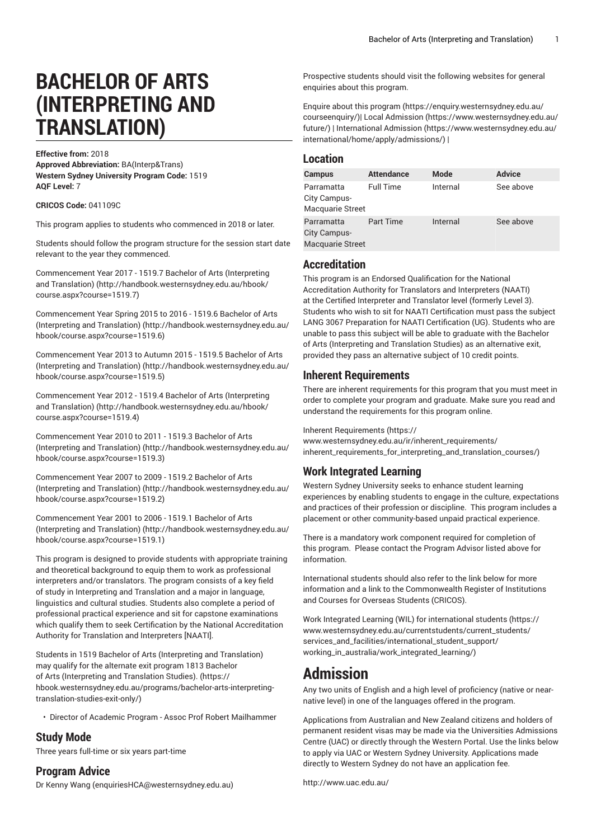# **BACHELOR OF ARTS (INTERPRETING AND TRANSLATION)**

**Effective from:** 2018 **Approved Abbreviation:** BA(Interp&Trans) **Western Sydney University Program Code:** 1519 **AQF Level:** 7

**CRICOS Code:** 041109C

This program applies to students who commenced in 2018 or later.

Students should follow the program structure for the session start date relevant to the year they commenced.

[Commencement](http://handbook.westernsydney.edu.au/hbook/course.aspx?course=1519.7) Year 2017 - 1519.7 Bachelor of Arts (Interpreting and [Translation\) \(http://handbook.westernsydney.edu.au/hbook/](http://handbook.westernsydney.edu.au/hbook/course.aspx?course=1519.7) [course.aspx?course=1519.7](http://handbook.westernsydney.edu.au/hbook/course.aspx?course=1519.7))

[Commencement](http://handbook.westernsydney.edu.au/hbook/course.aspx?course=1519.6) Year Spring 2015 to 2016 - 1519.6 Bachelor of Arts [\(Interpreting](http://handbook.westernsydney.edu.au/hbook/course.aspx?course=1519.6) and Translation) ([http://handbook.westernsydney.edu.au/](http://handbook.westernsydney.edu.au/hbook/course.aspx?course=1519.6) [hbook/course.aspx?course=1519.6\)](http://handbook.westernsydney.edu.au/hbook/course.aspx?course=1519.6)

[Commencement](http://handbook.westernsydney.edu.au/hbook/course.aspx?course=1519.5) Year 2013 to Autumn 2015 - 1519.5 Bachelor of Arts [\(Interpreting](http://handbook.westernsydney.edu.au/hbook/course.aspx?course=1519.5) and Translation) ([http://handbook.westernsydney.edu.au/](http://handbook.westernsydney.edu.au/hbook/course.aspx?course=1519.5) [hbook/course.aspx?course=1519.5\)](http://handbook.westernsydney.edu.au/hbook/course.aspx?course=1519.5)

[Commencement](http://handbook.westernsydney.edu.au/hbook/course.aspx?course=1519.4) Year 2012 - 1519.4 Bachelor of Arts (Interpreting and [Translation\) \(http://handbook.westernsydney.edu.au/hbook/](http://handbook.westernsydney.edu.au/hbook/course.aspx?course=1519.4) [course.aspx?course=1519.4](http://handbook.westernsydney.edu.au/hbook/course.aspx?course=1519.4))

[Commencement](http://handbook.westernsydney.edu.au/hbook/course.aspx?course=1519.3) Year 2010 to 2011 - 1519.3 Bachelor of Arts [\(Interpreting](http://handbook.westernsydney.edu.au/hbook/course.aspx?course=1519.3) and Translation) ([http://handbook.westernsydney.edu.au/](http://handbook.westernsydney.edu.au/hbook/course.aspx?course=1519.3) [hbook/course.aspx?course=1519.3\)](http://handbook.westernsydney.edu.au/hbook/course.aspx?course=1519.3)

[Commencement](http://handbook.westernsydney.edu.au/hbook/course.aspx?course=1519.2) Year 2007 to 2009 - 1519.2 Bachelor of Arts [\(Interpreting](http://handbook.westernsydney.edu.au/hbook/course.aspx?course=1519.2) and Translation) ([http://handbook.westernsydney.edu.au/](http://handbook.westernsydney.edu.au/hbook/course.aspx?course=1519.2) [hbook/course.aspx?course=1519.2\)](http://handbook.westernsydney.edu.au/hbook/course.aspx?course=1519.2)

[Commencement](http://handbook.westernsydney.edu.au/hbook/course.aspx?course=1519.1) Year 2001 to 2006 - 1519.1 Bachelor of Arts [\(Interpreting](http://handbook.westernsydney.edu.au/hbook/course.aspx?course=1519.1) and Translation) ([http://handbook.westernsydney.edu.au/](http://handbook.westernsydney.edu.au/hbook/course.aspx?course=1519.1) [hbook/course.aspx?course=1519.1\)](http://handbook.westernsydney.edu.au/hbook/course.aspx?course=1519.1)

This program is designed to provide students with appropriate training and theoretical background to equip them to work as professional interpreters and/or translators. The program consists of a key field of study in Interpreting and Translation and a major in language, linguistics and cultural studies. Students also complete a period of professional practical experience and sit for capstone examinations which qualify them to seek Certification by the National Accreditation Authority for Translation and Interpreters [NAATI].

Students in 1519 Bachelor of Arts (Interpreting and Translation) may qualify for the alternate exit program [1813 Bachelor](https://hbook.westernsydney.edu.au/programs/bachelor-arts-interpreting-translation-studies-exit-only/) of Arts [\(Interpreting](https://hbook.westernsydney.edu.au/programs/bachelor-arts-interpreting-translation-studies-exit-only/) and Translation Studies). [\(https://](https://hbook.westernsydney.edu.au/programs/bachelor-arts-interpreting-translation-studies-exit-only/) [hbook.westernsydney.edu.au/programs/bachelor-arts-interpreting](https://hbook.westernsydney.edu.au/programs/bachelor-arts-interpreting-translation-studies-exit-only/)[translation-studies-exit-only/](https://hbook.westernsydney.edu.au/programs/bachelor-arts-interpreting-translation-studies-exit-only/))

• Director of Academic Program - Assoc Prof Robert Mailhammer

#### **Study Mode**

Three years full-time or six years part-time

#### **Program Advice**

Dr [Kenny](mailto:enquiriesHCA@westernsydney.edu.au) Wang [\(enquiriesHCA@westernsydney.edu.au\)](enquiriesHCA@westernsydney.edu.au)

Prospective students should visit the following websites for general enquiries about this program.

Enquire about this [program](https://enquiry.westernsydney.edu.au/courseenquiry/) ([https://enquiry.westernsydney.edu.au/](https://enquiry.westernsydney.edu.au/courseenquiry/) [courseenquiry/\)](https://enquiry.westernsydney.edu.au/courseenquiry/)| [Local Admission](https://www.westernsydney.edu.au/future/) ([https://www.westernsydney.edu.au/](https://www.westernsydney.edu.au/future/) [future/](https://www.westernsydney.edu.au/future/)) | [International Admission \(https://www.westernsydney.edu.au/](https://www.westernsydney.edu.au/international/home/apply/admissions/) [international/home/apply/admissions/](https://www.westernsydney.edu.au/international/home/apply/admissions/)) |

#### **Location**

| Campus                                                | <b>Attendance</b> | Mode     | <b>Advice</b> |
|-------------------------------------------------------|-------------------|----------|---------------|
| Parramatta<br>City Campus-<br>Macquarie Street        | <b>Full Time</b>  | Internal | See above     |
| Parramatta<br>City Campus-<br><b>Macquarie Street</b> | <b>Part Time</b>  | Internal | See above     |

#### **Accreditation**

This program is an Endorsed Qualification for the National Accreditation Authority for Translators and Interpreters (NAATI) at the Certified Interpreter and Translator level (formerly Level 3). Students who wish to sit for NAATI Certification must pass the subject LANG 3067 Preparation for NAATI Certification (UG). Students who are unable to pass this subject will be able to graduate with the Bachelor of Arts (Interpreting and Translation Studies) as an alternative exit, provided they pass an alternative subject of 10 credit points.

#### **Inherent Requirements**

There are inherent requirements for this program that you must meet in order to complete your program and graduate. Make sure you read and understand the requirements for this program online.

Inherent [Requirements](https://www.westernsydney.edu.au/ir/inherent_requirements/inherent_requirements_for_interpreting_and_translation_courses/) ([https://](https://www.westernsydney.edu.au/ir/inherent_requirements/inherent_requirements_for_interpreting_and_translation_courses/)

[www.westernsydney.edu.au/ir/inherent\\_requirements/](https://www.westernsydney.edu.au/ir/inherent_requirements/inherent_requirements_for_interpreting_and_translation_courses/) [inherent\\_requirements\\_for\\_interpreting\\_and\\_translation\\_courses/\)](https://www.westernsydney.edu.au/ir/inherent_requirements/inherent_requirements_for_interpreting_and_translation_courses/)

#### **Work Integrated Learning**

Western Sydney University seeks to enhance student learning experiences by enabling students to engage in the culture, expectations and practices of their profession or discipline. This program includes a placement or other community-based unpaid practical experience.

There is a mandatory work component required for completion of this program. Please contact the Program Advisor listed above for information.

International students should also refer to the link below for more information and a link to the Commonwealth Register of Institutions and Courses for Overseas Students (CRICOS).

Work Integrated Learning (WIL) for [international](https://www.westernsydney.edu.au/currentstudents/current_students/services_and_facilities/international_student_support/working_in_australia/work_integrated_learning/) students ([https://](https://www.westernsydney.edu.au/currentstudents/current_students/services_and_facilities/international_student_support/working_in_australia/work_integrated_learning/) [www.westernsydney.edu.au/currentstudents/current\\_students/](https://www.westernsydney.edu.au/currentstudents/current_students/services_and_facilities/international_student_support/working_in_australia/work_integrated_learning/) [services\\_and\\_facilities/international\\_student\\_support/](https://www.westernsydney.edu.au/currentstudents/current_students/services_and_facilities/international_student_support/working_in_australia/work_integrated_learning/) [working\\_in\\_australia/work\\_integrated\\_learning/](https://www.westernsydney.edu.au/currentstudents/current_students/services_and_facilities/international_student_support/working_in_australia/work_integrated_learning/))

# **Admission**

Any two units of English and a high level of proficiency (native or nearnative level) in one of the languages offered in the program.

Applications from Australian and New Zealand citizens and holders of permanent resident visas may be made via the Universities Admissions Centre (UAC) or directly through the Western Portal. Use the links below to apply via UAC or Western Sydney University. Applications made directly to Western Sydney do not have an application fee.

<http://www.uac.edu.au/>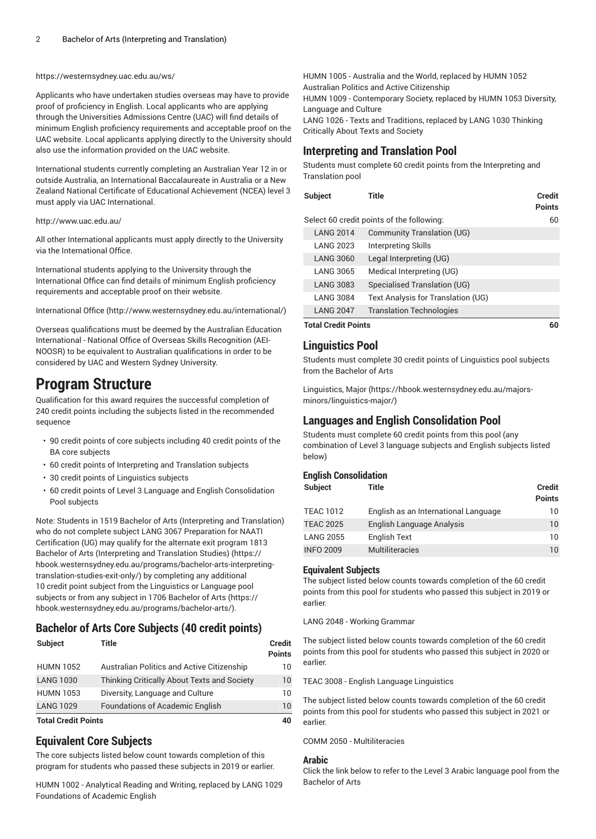#### <https://westernsydney.uac.edu.au/ws/>

Applicants who have undertaken studies overseas may have to provide proof of proficiency in English. Local applicants who are applying through the Universities Admissions Centre (UAC) will find details of minimum English proficiency requirements and acceptable proof on the UAC website. Local applicants applying directly to the University should also use the information provided on the UAC website.

International students currently completing an Australian Year 12 in or outside Australia, an International Baccalaureate in Australia or a New Zealand National Certificate of Educational Achievement (NCEA) level 3 must apply via UAC International.

#### <http://www.uac.edu.au/>

All other International applicants must apply directly to the University via the International Office.

International students applying to the University through the International Office can find details of minimum English proficiency requirements and acceptable proof on their website.

[International Office \(http://www.westernsydney.edu.au/international/\)](http://www.westernsydney.edu.au/international/)

Overseas qualifications must be deemed by the Australian Education International - National Office of Overseas Skills Recognition (AEI-NOOSR) to be equivalent to Australian qualifications in order to be considered by UAC and Western Sydney University.

## **Program Structure**

Qualification for this award requires the successful completion of 240 credit points including the subjects listed in the recommended sequence

- 90 credit points of core subjects including 40 credit points of the BA core subjects
- 60 credit points of Interpreting and Translation subjects
- 30 credit points of Linguistics subjects
- 60 credit points of Level 3 Language and English Consolidation Pool subjects

Note: Students in 1519 Bachelor of Arts (Interpreting and Translation) who do not complete subject LANG 3067 Preparation for NAATI Certification (UG) may qualify for the alternate exit program [1813](https://hbook.westernsydney.edu.au/programs/bachelor-arts-interpreting-translation-studies-exit-only/) Bachelor of Arts [\(Interpreting](https://hbook.westernsydney.edu.au/programs/bachelor-arts-interpreting-translation-studies-exit-only/) and Translation Studies) ([https://](https://hbook.westernsydney.edu.au/programs/bachelor-arts-interpreting-translation-studies-exit-only/) [hbook.westernsydney.edu.au/programs/bachelor-arts-interpreting](https://hbook.westernsydney.edu.au/programs/bachelor-arts-interpreting-translation-studies-exit-only/)[translation-studies-exit-only/](https://hbook.westernsydney.edu.au/programs/bachelor-arts-interpreting-translation-studies-exit-only/)) by completing any additional 10 credit point subject from the Linguistics or Language pool subjects or from any subject in 1706 [Bachelor](https://hbook.westernsydney.edu.au/programs/bachelor-arts/) of Arts ([https://](https://hbook.westernsydney.edu.au/programs/bachelor-arts/) [hbook.westernsydney.edu.au/programs/bachelor-arts/\)](https://hbook.westernsydney.edu.au/programs/bachelor-arts/).

#### **Bachelor of Arts Core Subjects (40 credit points)**

| <b>Subject</b>             | Title                                       | <b>Credit</b><br><b>Points</b> |
|----------------------------|---------------------------------------------|--------------------------------|
| <b>HUMN 1052</b>           | Australian Politics and Active Citizenship  | 10                             |
| <b>LANG 1030</b>           | Thinking Critically About Texts and Society | $10^{\circ}$                   |
| <b>HUMN 1053</b>           | Diversity, Language and Culture             | 10                             |
| <b>LANG 1029</b>           | <b>Foundations of Academic English</b>      | 10                             |
| <b>Total Cradit Doints</b> |                                             | 10.                            |

**Total Credit Points 40**

### **Equivalent Core Subjects**

The core subjects listed below count towards completion of this program for students who passed these subjects in 2019 or earlier.

HUMN 1002 - Analytical Reading and Writing, replaced by LANG 1029 Foundations of Academic English

HUMN 1005 - Australia and the World, replaced by HUMN 1052 Australian Politics and Active Citizenship HUMN 1009 - Contemporary Society, replaced by HUMN 1053 Diversity, Language and Culture LANG 1026 - Texts and Traditions, replaced by LANG 1030 Thinking Critically About Texts and Society

#### **Interpreting and Translation Pool**

Students must complete 60 credit points from the Interpreting and Translation pool

| <b>Subject</b>             | Title                                     | Credit<br><b>Points</b> |
|----------------------------|-------------------------------------------|-------------------------|
|                            | Select 60 credit points of the following: | 60                      |
| <b>LANG 2014</b>           | <b>Community Translation (UG)</b>         |                         |
| <b>LANG 2023</b>           | Interpreting Skills                       |                         |
| <b>LANG 3060</b>           | Legal Interpreting (UG)                   |                         |
| <b>LANG 3065</b>           | Medical Interpreting (UG)                 |                         |
| <b>LANG 3083</b>           | Specialised Translation (UG)              |                         |
| <b>LANG 3084</b>           | Text Analysis for Translation (UG)        |                         |
| <b>LANG 2047</b>           | <b>Translation Technologies</b>           |                         |
| <b>Total Credit Points</b> |                                           | 60                      |

#### **Linguistics Pool**

Students must complete 30 credit points of Linguistics pool subjects from the Bachelor of Arts

[Linguistics, Major \(https://hbook.westernsydney.edu.au/majors](https://hbook.westernsydney.edu.au/majors-minors/linguistics-major/)[minors/linguistics-major/\)](https://hbook.westernsydney.edu.au/majors-minors/linguistics-major/)

#### **Languages and English Consolidation Pool**

Students must complete 60 credit points from this pool (any combination of Level 3 language subjects and English subjects listed below)

#### **English Consolidation**

| Subject          | Title                                | <b>Credit</b><br><b>Points</b> |
|------------------|--------------------------------------|--------------------------------|
| <b>TEAC 1012</b> | English as an International Language | 10                             |
| <b>TEAC 2025</b> | English Language Analysis            | 10                             |
| <b>LANG 2055</b> | <b>English Text</b>                  | 10                             |
| <b>INFO 2009</b> | <b>Multiliteracies</b>               | 10                             |

#### **Equivalent Subjects**

The subject listed below counts towards completion of the 60 credit points from this pool for students who passed this subject in 2019 or earlier.

LANG 2048 - Working Grammar

The subject listed below counts towards completion of the 60 credit points from this pool for students who passed this subject in 2020 or earlier.

TEAC 3008 - English Language Linguistics

The subject listed below counts towards completion of the 60 credit points from this pool for students who passed this subject in 2021 or earlier.

COMM 2050 - Multiliteracies

#### **Arabic**

Click the link below to refer to the Level 3 Arabic language pool from the Bachelor of Arts